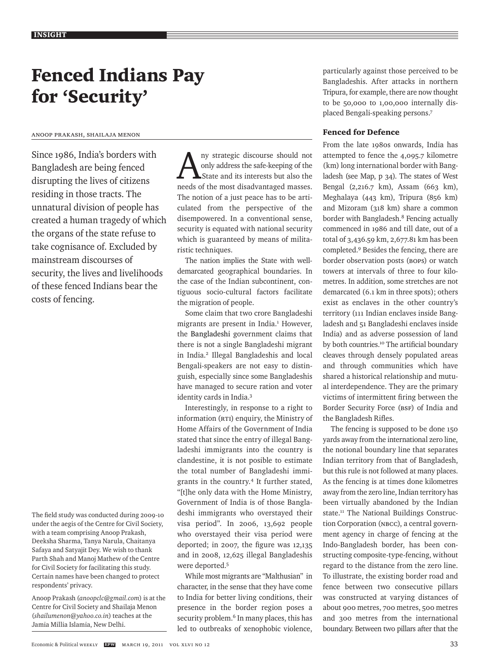# Fenced Indians Pay for 'Security'

#### Anoop Prakash, Shailaja Menon

Since 1986, India's borders with Bangladesh are being fenced disrupting the lives of citizens residing in those tracts. The unnatural division of people has created a human tragedy of which the organs of the state refuse to take cognisance of. Excluded by mainstream discourses of security, the lives and livelihoods of these fenced Indians bear the costs of fencing.

The field study was conducted during 2009-10 under the aegis of the Centre for Civil Society, with a team comprising Anoop Prakash, Deeksha Sharma, Tanya Narula, Chaitanya Safaya and Satyajit Dey. We wish to thank Parth Shah and Manoj Mathew of the Centre for Civil Society for facilitating this study. Certain names have been changed to protect respondents' privacy.

Anoop Prakash (*anoopclc@gmail.com*) is at the Centre for Civil Society and Shailaja Menon (*shailumenon@yahoo.co.in*) teaches at the Jamia Millia Islamia, New Delhi.

Any strategic discourse should not<br>only address the safe-keeping of the<br>state and its interests but also the only address the safe-keeping of the State and its interests but also the needs of the most disadvantaged masses. The notion of a just peace has to be articulated from the perspective of the disempowered. In a conventional sense, security is equated with national security which is guaranteed by means of militaristic techniques.

The nation implies the State with welldemarcated geographical boundaries. In the case of the Indian subcontinent, contiguous socio-cultural factors facilitate the migration of people.

Some claim that two crore Bangladeshi migrants are present in India.<sup>1</sup> However, the Bangladeshi government claims that there is not a single Bangladeshi migrant in India.2 Illegal Bangladeshis and local Bengali-speakers are not easy to distinguish, especially since some Bangladeshis have managed to secure ration and voter identity cards in India.3

Interestingly, in response to a right to information (RTI) enquiry, the Ministry of Home Affairs of the Government of India stated that since the entry of illegal Bangladeshi immigrants into the country is clandestine, it is not posible to estimate the total number of Bangladeshi immigrants in the country.4 It further stated, "[t]he only data with the Home Ministry, Government of India is of those Bangladeshi immigrants who overstayed their visa period". In 2006, 13,692 people who overstayed their visa period were deported; in 2007, the figure was 12,135 and in 2008, 12,625 illegal Bangladeshis were deported.5

While most migrants are "Malthusian" in character, in the sense that they have come to India for better living conditions, their presence in the border region poses a security problem.<sup>6</sup> In many places, this has led to outbreaks of xenophobic violence,

particularly against those perceived to be Bangladeshis. After attacks in northern Tripura, for example, there are now thought to be 50,000 to 1,00,000 internally displaced Bengali-speaking persons.7

## Fenced for Defence

From the late 1980s onwards, India has attempted to fence the 4,095.7 kilometre (km) long international border with Bangladesh (see Map, p 34). The states of West Bengal (2,216.7 km), Assam (663 km), Meghalaya (443 km), Tripura (856 km) and Mizoram (318 km) share a common border with Bangladesh.<sup>8</sup> Fencing actually commenced in 1986 and till date, out of a total of 3,436.59 km, 2,677.81 km has been completed.9 Besides the fencing, there are border observation posts (BOPs) or watch towers at intervals of three to four kilometres. In addition, some stretches are not demarcated (6.1 km in three spots); others exist as enclaves in the other country's territory (111 Indian enclaves inside Bangladesh and 51 Bangladeshi enclaves inside India) and as adverse possession of land by both countries.<sup>10</sup> The artificial boundary cleaves through densely populated areas and through communities which have shared a historical relationship and mutual interdependence. They are the primary victims of intermittent firing between the Border Security Force (BSF) of India and the Bangladesh Rifles.

The fencing is supposed to be done 150 yards away from the international zero line, the notional boundary line that separates Indian territory from that of Bangladesh, but this rule is not followed at many places. As the fencing is at times done kilometres away from the zero line, Indian territory has been virtually abandoned by the Indian state.<sup>11</sup> The National Buildings Construction Corporation (NBCC), a central government agency in charge of fencing at the Indo-Bangladesh border, has been constructing composite-type-fencing, without regard to the distance from the zero line. To illustrate, the existing border road and fence between two consecutive pillars was constructed at varying distances of about 900 metres, 700 metres, 500 metres and 300 metres from the international boundary. Between two pillars after that the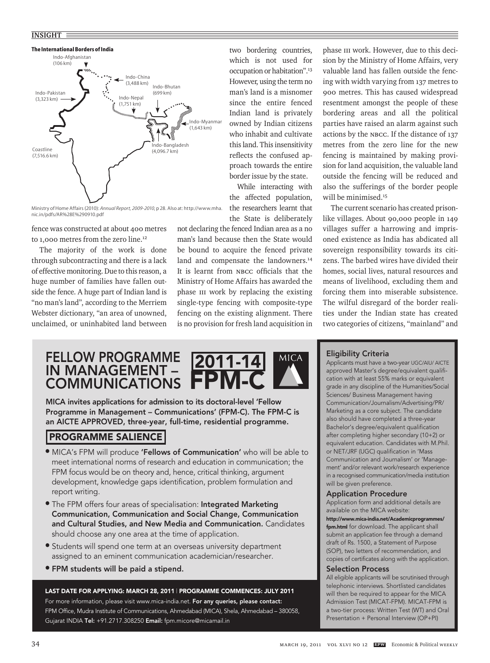#### **INSIGHT**



 Ministry of Home Affairs(2010): *Annual Report, 2009-2010*, p 28. Also at: http://www.mha. nic.in/pdfs/AR%28E%290910.pdf

fence was constructed at about 400 metres to 1,000 metres from the zero line.<sup>12</sup>

The majority of the work is done through subcontracting and there is a lack of effective monitoring. Due to this reason, a huge number of families have fallen outside the fence. A huge part of Indian land is "no man's land", according to the Merriem Webster dictionary, "an area of unowned, unclaimed, or uninhabited land between

two bordering countries, which is not used for occupation or habitation".13 However, using the term no man's land is a misnomer since the entire fenced Indian land is privately owned by Indian citizens who inhabit and cultivate this land. This insensitivity reflects the confused approach towards the entire border issue by the state.

While interacting with the affected population, the researchers learnt that the State is deliberately

not declaring the fenced Indian area as a no man's land because then the State would be bound to acquire the fenced private land and compensate the landowners.<sup>14</sup> It is learnt from NBCC officials that the Ministry of Home Affairs has awarded the phase III work by replacing the existing single-type fencing with composite-type fencing on the existing alignment. There is no provision for fresh land acquisition in

phase III work. However, due to this decision by the Ministry of Home Affairs, very valuable land has fallen outside the fencing with width varying from 137 metres to 900 metres. This has caused widespread resentment amongst the people of these bordering areas and all the political parties have raised an alarm against such actions by the NBCC. If the distance of 137 metres from the zero line for the new fencing is maintained by making provision for land acquisition, the valuable land outside the fencing will be reduced and also the sufferings of the border people will be minimised.<sup>15</sup>

The current scenario has created prisonlike villages. About 90,000 people in 149 villages suffer a harrowing and imprisoned existence as India has abdicated all sovereign responsibility towards its citizens. The barbed wires have divided their homes, social lives, natural resources and means of livelihood, excluding them and forcing them into miserable subsistence. The wilful disregard of the border realities under the Indian state has created two categories of citizens, "mainland" and

# FELLOW PROGRAMME IN MANAGEMENT – COMMUNICATIONS



MICA invites applications for admission to its doctoral-level 'Fellow Programme in Management – Communications' (FPM-C). The FPM-C is an AICTE APPROVED, three-year, full-time, residential programme.

# PROGRAMME SALIENCE

- MICA's FPM will produce 'Fellows of Communication' who will be able to meet international norms of research and education in communication; the FPM focus would be on theory and, hence, critical thinking, argument development, knowledge gaps identification, problem formulation and report writing.
- **The FPM offers four areas of specialisation: Integrated Marketing** Communication, Communication and Social Change, Communication and Cultural Studies, and New Media and Communication. Candidates should choose any one area at the time of application.
- Students will spend one term at an overseas university department assigned to an eminent communication academician/researcher.
- FPM students will be paid a stipend.

LAST DATE FOR APPLYING: MARCH 28, 2011 | PROGRAMME COMMENCES: JULY 2011 For more information, please visit www.mica-india.net. For any queries, please contact: FPM Office, Mudra Institute of Communications, Ahmedabad (MICA), Shela, Ahmedabad – 380058, Gujarat INDIA Tel: +91.2717.308250 Email: fpm.micore@micamail.in

#### Eligibility Criteria

Applicants must have a two-year UGC/AIU/ AICTE approved Master's degree/equivalent qualification with at least 55% marks or equivalent grade in any discipline of the Humanities/Social Sciences/ Business Management having Communication/Journalism/Advertising/PR/ Marketing as a core subject. The candidate also should have completed a three-year Bachelor's degree/equivalent qualification after completing higher secondary (10+2) or equivalent education. Candidates with M.Phil. or NET/JRF (UGC) qualification in 'Mass Communication and Journalism' or 'Management' and/or relevant work/research experience in a recognised communication/media institution will be given preference.

#### Application Procedure

Application form and additional details are available on the MICA website:

http://www.mica-india.net/Academicprogrammes/ fpm.html for download. The applicant shall submit an application fee through a demand draft of Rs. 1500, a Statement of Purpose (SOP), two letters of recommendation, and copies of certificates along with the application.

#### Selection Process

All eligible applicants will be scrutinised through telephonic interviews. Shortlisted candidates will then be required to appear for the MICA Admission Test (MICAT-FPM). MICAT-FPM is a two-tier process: Written Test (WT) and Oral Presentation + Personal Interview (OP+PI)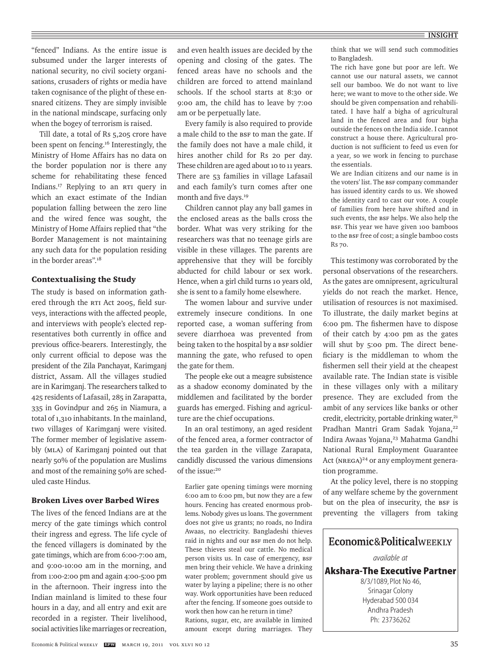"fenced" Indians. As the entire issue is subsumed under the larger interests of national security, no civil society organisations, crusaders of rights or media have taken cognisance of the plight of these ensnared citizens. They are simply invisible in the national mindscape, surfacing only when the bogey of terrorism is raised.

Till date, a total of Rs 5,205 crore have been spent on fencing.16 Interestingly, the Ministry of Home Affairs has no data on the border population nor is there any scheme for rehabilitating these fenced Indians.17 Replying to an RTI query in which an exact estimate of the Indian population falling between the zero line and the wired fence was sought, the Ministry of Home Affairs replied that "the Border Management is not maintaining any such data for the population residing in the border areas".18

## Contextualising the Study

The study is based on information gathered through the RTI Act 2005, field surveys, interactions with the affected people, and interviews with people's elected representatives both currently in office and previous office-bearers. Interestingly, the only current official to depose was the president of the Zila Panchayat, Karimganj district, Assam. All the villages studied are in Karimganj. The researchers talked to 425 residents of Lafasail, 285 in Zarapatta, 335 in Govindpur and 265 in Niamura, a total of 1,310 inhabitants. In the mainland, two villages of Karimganj were visited. The former member of legislative assembly (MLA) of Karimganj pointed out that nearly 50% of the population are Muslims and most of the remaining 50% are scheduled caste Hindus.

#### Broken Lives over Barbed Wires

The lives of the fenced Indians are at the mercy of the gate timings which control their ingress and egress. The life cycle of the fenced villagers is dominated by the gate timings, which are from 6:00-7:00 am, and 9:00-10:00 am in the morning, and from 1:00-2:00 pm and again 4:00-5:00 pm in the afternoon. Their ingress into the Indian mainland is limited to these four hours in a day, and all entry and exit are recorded in a register. Their livelihood, social activities like marriages or recreation,

and even health issues are decided by the opening and closing of the gates. The fenced areas have no schools and the children are forced to attend mainland schools. If the school starts at 8:30 or 9:00 am, the child has to leave by 7:00 am or be perpetually late.

Every family is also required to provide a male child to the BSF to man the gate. If the family does not have a male child, it hires another child for Rs 20 per day. These children are aged about 10 to 11 years. There are 53 families in village Lafasail and each family's turn comes after one month and five days.19

Children cannot play any ball games in the enclosed areas as the balls cross the border. What was very striking for the researchers was that no teenage girls are visible in these villages. The parents are apprehensive that they will be forcibly abducted for child labour or sex work. Hence, when a girl child turns 10 years old, she is sent to a family home elsewhere.

The women labour and survive under extremely insecure conditions. In one reported case, a woman suffering from severe diarrhoea was prevented from being taken to the hospital by a BSF soldier manning the gate, who refused to open the gate for them.

The people eke out a meagre subsistence as a shadow economy dominated by the middlemen and facilitated by the border guards has emerged. Fishing and agriculture are the chief occupations.

In an oral testimony, an aged resident of the fenced area, a former contractor of the tea garden in the village Zarapata, candidly discussed the various dimensions of the issue:<sup>20</sup>

Earlier gate opening timings were morning 6:00 am to 6:00 pm, but now they are a few hours. Fencing has created enormous problems. Nobody gives us loans. The government does not give us grants; no roads, no Indira Awaas, no electricity. Bangladeshi thieves raid in nights and our BSF men do not help. These thieves steal our cattle. No medical person visits us. In case of emergency, BSF men bring their vehicle. We have a drinking water problem; government should give us water by laying a pipeline; there is no other way. Work opportunities have been reduced after the fencing. If someone goes outside to work then how can he return in time?

Rations, sugar, etc, are available in limited amount except during marriages. They think that we will send such commodities to Bangladesh.

The rich have gone but poor are left. We cannot use our natural assets, we cannot sell our bamboo. We do not want to live here; we want to move to the other side. We should be given compensation and rehabilitated. I have half a bigha of agricultural land in the fenced area and four bigha outside the fences on the India side. I cannot construct a house there. Agricultural production is not sufficient to feed us even for a year, so we work in fencing to purchase the essentials.

We are Indian citizens and our name is in the voters' list. The BSF company commander has issued identity cards to us. We showed the identity card to cast our vote. A couple of families from here have shifted and in such events, the BSF helps. We also help the BSF. This year we have given 100 bamboos to the BSF free of cost; a single bamboo costs Rs 70.

This testimony was corroborated by the personal observations of the researchers. As the gates are omnipresent, agricultural yields do not reach the market. Hence, utilisation of resources is not maximised. To illustrate, the daily market begins at 6:00 pm. The fishermen have to dispose of their catch by 4:00 pm as the gates will shut by 5:00 pm. The direct beneficiary is the middleman to whom the fishermen sell their yield at the cheapest available rate. The Indian state is visible in these villages only with a military presence. They are excluded from the ambit of any services like banks or other credit, electricity, portable drinking water,<sup>21</sup> Pradhan Mantri Gram Sadak Yojana,<sup>22</sup> Indira Awaas Yojana,<sup>23</sup> Mahatma Gandhi National Rural Employment Guarantee Act (NREGA)<sup>24</sup> or any employment generation programme.

At the policy level, there is no stopping of any welfare scheme by the government but on the plea of insecurity, the BSF is preventing the villagers from taking

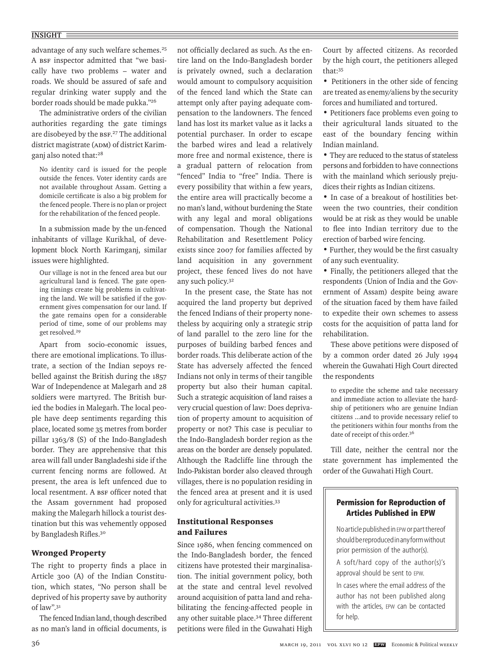#### **INSIGHT**

advantage of any such welfare schemes.<sup>25</sup> A BSF inspector admitted that "we basically have two problems – water and roads. We should be assured of safe and regular drinking water supply and the border roads should be made pukka."26

The administrative orders of the civilian authorities regarding the gate timings are disobeyed by the BSF.<sup>27</sup> The additional district magistrate (ADM) of district Karimganj also noted that:<sup>28</sup>

No identity card is issued for the people outside the fences. Voter identity cards are not available throughout Assam. Getting a domicile certificate is also a big problem for the fenced people. There is no plan or project for the rehabilitation of the fenced people.

In a submission made by the un-fenced inhabitants of village Kurikhal, of development block North Karimganj, similar issues were highlighted.

Our village is not in the fenced area but our agricultural land is fenced. The gate opening timings create big problems in cultivating the land. We will be satisfied if the government gives compensation for our land. If the gate remains open for a considerable period of time, some of our problems may get resolved.29

Apart from socio-economic issues, there are emotional implications. To illustrate, a section of the Indian sepoys rebelled against the British during the 1857 War of Independence at Malegarh and 28 soldiers were martyred. The British buried the bodies in Malegarh. The local people have deep sentiments regarding this place, located some 35 metres from border pillar 1363/8 (S) of the Indo-Bangladesh border. They are apprehensive that this area will fall under Bangladeshi side if the current fencing norms are followed. At present, the area is left unfenced due to local resentment. A BSF officer noted that the Assam government had proposed making the Malegarh hillock a tourist destination but this was vehemently opposed by Bangladesh Rifles.30

## Wronged Property

The right to property finds a place in Article 300 (A) of the Indian Constitution, which states, "No person shall be deprived of his property save by authority of law".31

The fenced Indian land, though described as no man's land in official documents, is not officially declared as such. As the entire land on the Indo-Bangladesh border is privately owned, such a declaration would amount to compulsory acquisition of the fenced land which the State can attempt only after paying adequate compensation to the landowners. The fenced land has lost its market value as it lacks a potential purchaser. In order to escape the barbed wires and lead a relatively more free and normal existence, there is a gradual pattern of relocation from "fenced" India to "free" India. There is every possibility that within a few years, the entire area will practically become a no man's land, without burdening the State with any legal and moral obligations of compensation. Though the National Rehabilitation and Resettlement Policy exists since 2007 for families affected by land acquisition in any government project, these fenced lives do not have any such policy.32

In the present case, the State has not acquired the land property but deprived the fenced Indians of their property nonetheless by acquiring only a strategic strip of land parallel to the zero line for the purposes of building barbed fences and border roads. This deliberate action of the State has adversely affected the fenced Indians not only in terms of their tangible property but also their human capital. Such a strategic acquisition of land raises a very crucial question of law: Does deprivation of property amount to acquisition of property or not? This case is peculiar to the Indo-Bangladesh border region as the areas on the border are densely populated. Although the Radcliffe line through the Indo-Pakistan border also cleaved through villages, there is no population residing in the fenced area at present and it is used only for agricultural activities.33

## Institutional Responses and Failures

Since 1986, when fencing commenced on the Indo-Bangladesh border, the fenced citizens have protested their marginalisation. The initial government policy, both at the state and central level revolved around acquisition of patta land and rehabilitating the fencing-affected people in any other suitable place.34 Three different petitions were filed in the Guwahati High Court by affected citizens. As recorded by the high court, the petitioners alleged that:35

• Petitioners in the other side of fencing are treated as enemy/aliens by the security forces and humiliated and tortured.

• Petitioners face problems even going to their agricultural lands situated to the east of the boundary fencing within Indian mainland.

• They are reduced to the status of stateless persons and forbidden to have connections with the mainland which seriously prejudices their rights as Indian citizens.

• In case of a breakout of hostilities between the two countries, their condition would be at risk as they would be unable to flee into Indian territory due to the erection of barbed wire fencing.

• Further, they would be the first casualty of any such eventuality.

• Finally, the petitioners alleged that the respondents (Union of India and the Government of Assam) despite being aware of the situation faced by them have failed to expedite their own schemes to assess costs for the acquisition of patta land for rehabilitation.

These above petitions were disposed of by a common order dated 26 July 1994 wherein the Guwahati High Court directed the respondents

to expedite the scheme and take necessary and immediate action to alleviate the hardship of petitioners who are genuine Indian citizens ...and to provide necessary relief to the petitioners within four months from the date of receipt of this order.36

Till date, neither the central nor the state government has implemented the order of the Guwahati High Court.

# **Permission for Reproduction of Articles Published in EPW**

No article published in EPW or part thereof shouldbereproducedinanyformwithout prior permission of the author(s).

A soft/hard copy of the author(s)'s approval should be sent to epw.

In cases where the email address of the author has not been published along with the articles, epw can be contacted for help.